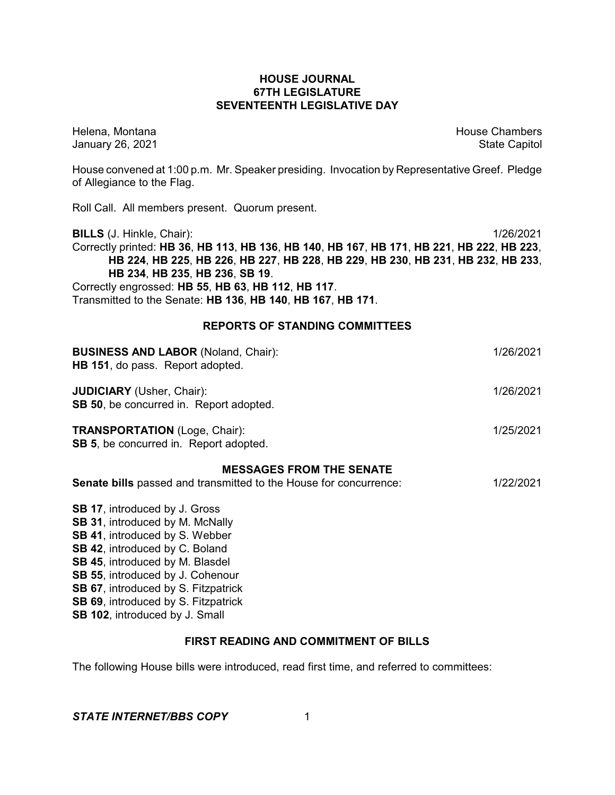## **HOUSE JOURNAL 67TH LEGISLATURE SEVENTEENTH LEGISLATIVE DAY**

Helena, Montana House Chambers Chambers Chambers and House Chambers Chambers Chambers Chambers Chambers Chambers Chambers Chambers Chambers Chambers Chambers Chambers Chambers Chambers Chambers Chambers Chambers Chambers C January 26, 2021 **State Capitol** 

House convened at 1:00 p.m. Mr. Speaker presiding. Invocation by Representative Greef. Pledge of Allegiance to the Flag.

Roll Call. All members present. Quorum present.

**BILLS** (J. Hinkle, Chair): 1/26/2021 Correctly printed: **HB 36**, **HB 113**, **HB 136**, **HB 140**, **HB 167**, **HB 171**, **HB 221**, **HB 222**, **HB 223**, **HB 224**, **HB 225**, **HB 226**, **HB 227**, **HB 228**, **HB 229**, **HB 230**, **HB 231**, **HB 232**, **HB 233**, **HB 234**, **HB 235**, **HB 236**, **SB 19**. Correctly engrossed: **HB 55**, **HB 63**, **HB 112**, **HB 117**. Transmitted to the Senate: **HB 136**, **HB 140**, **HB 167**, **HB 171**.

## **REPORTS OF STANDING COMMITTEES**

| <b>BUSINESS AND LABOR (Noland, Chair):</b><br>HB 151, do pass. Report adopted.        | 1/26/2021 |
|---------------------------------------------------------------------------------------|-----------|
| <b>JUDICIARY</b> (Usher, Chair):<br><b>SB 50, be concurred in. Report adopted.</b>    | 1/26/2021 |
| <b>TRANSPORTATION</b> (Loge, Chair):<br><b>SB 5, be concurred in. Report adopted.</b> | 1/25/2021 |
| <b>MESSAGES FROM THE SENATE</b>                                                       |           |
| Senate bills passed and transmitted to the House for concurrence:                     | 1/22/2021 |
| <b>SB 17, introduced by J. Gross</b>                                                  |           |
| SB 31, introduced by M. McNally                                                       |           |
| <b>SB 41, introduced by S. Webber</b>                                                 |           |
| <b>SB 42, introduced by C. Boland</b>                                                 |           |
|                                                                                       |           |
| SB 45, introduced by M. Blasdel<br><b>SB 55, introduced by J. Cohenour</b>            |           |

**SB 67**, introduced by S. Fitzpatrick

**SB 69**, introduced by S. Fitzpatrick

**SB 102**, introduced by J. Small

# **FIRST READING AND COMMITMENT OF BILLS**

The following House bills were introduced, read first time, and referred to committees: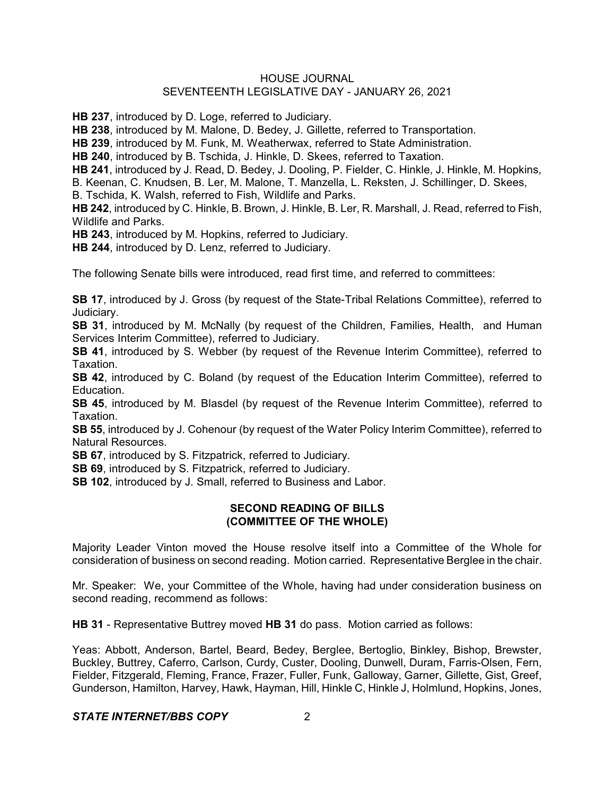**HB 237**, introduced by D. Loge, referred to Judiciary.

**HB 238**, introduced by M. Malone, D. Bedey, J. Gillette, referred to Transportation.

**HB 239**, introduced by M. Funk, M. Weatherwax, referred to State Administration.

**HB 240**, introduced by B. Tschida, J. Hinkle, D. Skees, referred to Taxation.

**HB 241**, introduced by J. Read, D. Bedey, J. Dooling, P. Fielder, C. Hinkle, J. Hinkle, M. Hopkins,

B. Keenan, C. Knudsen, B. Ler, M. Malone, T. Manzella, L. Reksten, J. Schillinger, D. Skees,

B. Tschida, K. Walsh, referred to Fish, Wildlife and Parks.

**HB 242**, introduced by C. Hinkle, B. Brown, J. Hinkle, B. Ler, R. Marshall, J. Read, referred to Fish, Wildlife and Parks.

**HB 243**, introduced by M. Hopkins, referred to Judiciary.

**HB 244**, introduced by D. Lenz, referred to Judiciary.

The following Senate bills were introduced, read first time, and referred to committees:

**SB 17**, introduced by J. Gross (by request of the State-Tribal Relations Committee), referred to Judiciary.

**SB 31**, introduced by M. McNally (by request of the Children, Families, Health, and Human Services Interim Committee), referred to Judiciary.

**SB 41**, introduced by S. Webber (by request of the Revenue Interim Committee), referred to Taxation.

**SB 42.** introduced by C. Boland (by request of the Education Interim Committee), referred to Education.

**SB 45**, introduced by M. Blasdel (by request of the Revenue Interim Committee), referred to Taxation.

**SB 55**, introduced by J. Cohenour (by request of the Water Policy Interim Committee), referred to Natural Resources.

**SB 67**, introduced by S. Fitzpatrick, referred to Judiciary.

**SB 69**, introduced by S. Fitzpatrick, referred to Judiciary.

**SB 102**, introduced by J. Small, referred to Business and Labor.

## **SECOND READING OF BILLS (COMMITTEE OF THE WHOLE)**

Majority Leader Vinton moved the House resolve itself into a Committee of the Whole for consideration of business on second reading. Motion carried. Representative Berglee in the chair.

Mr. Speaker: We, your Committee of the Whole, having had under consideration business on second reading, recommend as follows:

**HB 31** - Representative Buttrey moved **HB 31** do pass. Motion carried as follows:

Yeas: Abbott, Anderson, Bartel, Beard, Bedey, Berglee, Bertoglio, Binkley, Bishop, Brewster, Buckley, Buttrey, Caferro, Carlson, Curdy, Custer, Dooling, Dunwell, Duram, Farris-Olsen, Fern, Fielder, Fitzgerald, Fleming, France, Frazer, Fuller, Funk, Galloway, Garner, Gillette, Gist, Greef, Gunderson, Hamilton, Harvey, Hawk, Hayman, Hill, Hinkle C, Hinkle J, Holmlund, Hopkins, Jones,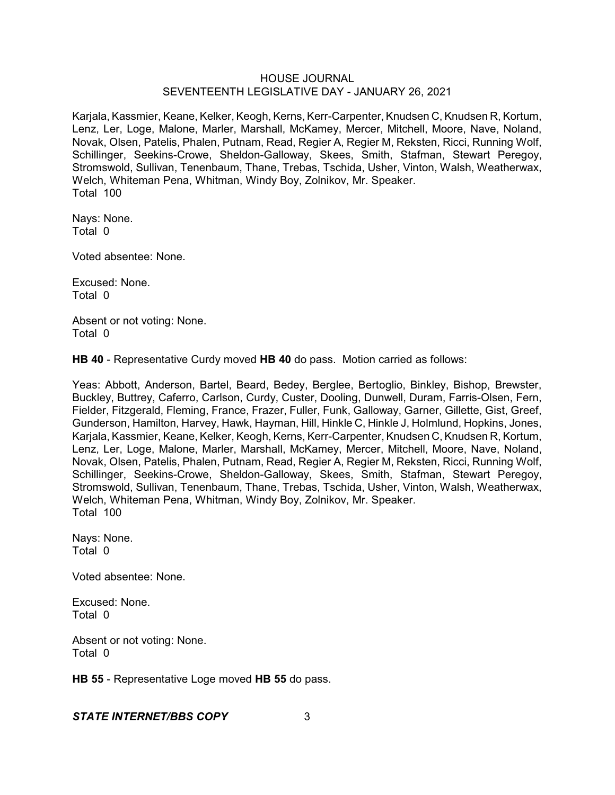Karjala, Kassmier, Keane, Kelker, Keogh, Kerns, Kerr-Carpenter, Knudsen C, Knudsen R, Kortum, Lenz, Ler, Loge, Malone, Marler, Marshall, McKamey, Mercer, Mitchell, Moore, Nave, Noland, Novak, Olsen, Patelis, Phalen, Putnam, Read, Regier A, Regier M, Reksten, Ricci, Running Wolf, Schillinger, Seekins-Crowe, Sheldon-Galloway, Skees, Smith, Stafman, Stewart Peregoy, Stromswold, Sullivan, Tenenbaum, Thane, Trebas, Tschida, Usher, Vinton, Walsh, Weatherwax, Welch, Whiteman Pena, Whitman, Windy Boy, Zolnikov, Mr. Speaker. Total 100

Nays: None. Total 0

Voted absentee: None.

Excused: None. Total 0

Absent or not voting: None. Total 0

**HB 40** - Representative Curdy moved **HB 40** do pass. Motion carried as follows:

Yeas: Abbott, Anderson, Bartel, Beard, Bedey, Berglee, Bertoglio, Binkley, Bishop, Brewster, Buckley, Buttrey, Caferro, Carlson, Curdy, Custer, Dooling, Dunwell, Duram, Farris-Olsen, Fern, Fielder, Fitzgerald, Fleming, France, Frazer, Fuller, Funk, Galloway, Garner, Gillette, Gist, Greef, Gunderson, Hamilton, Harvey, Hawk, Hayman, Hill, Hinkle C, Hinkle J, Holmlund, Hopkins, Jones, Karjala, Kassmier, Keane, Kelker, Keogh, Kerns, Kerr-Carpenter, Knudsen C, Knudsen R, Kortum, Lenz, Ler, Loge, Malone, Marler, Marshall, McKamey, Mercer, Mitchell, Moore, Nave, Noland, Novak, Olsen, Patelis, Phalen, Putnam, Read, Regier A, Regier M, Reksten, Ricci, Running Wolf, Schillinger, Seekins-Crowe, Sheldon-Galloway, Skees, Smith, Stafman, Stewart Peregoy, Stromswold, Sullivan, Tenenbaum, Thane, Trebas, Tschida, Usher, Vinton, Walsh, Weatherwax, Welch, Whiteman Pena, Whitman, Windy Boy, Zolnikov, Mr. Speaker. Total 100

Nays: None. Total 0

Voted absentee: None.

Excused: None. Total 0

Absent or not voting: None. Total 0

**HB 55** - Representative Loge moved **HB 55** do pass.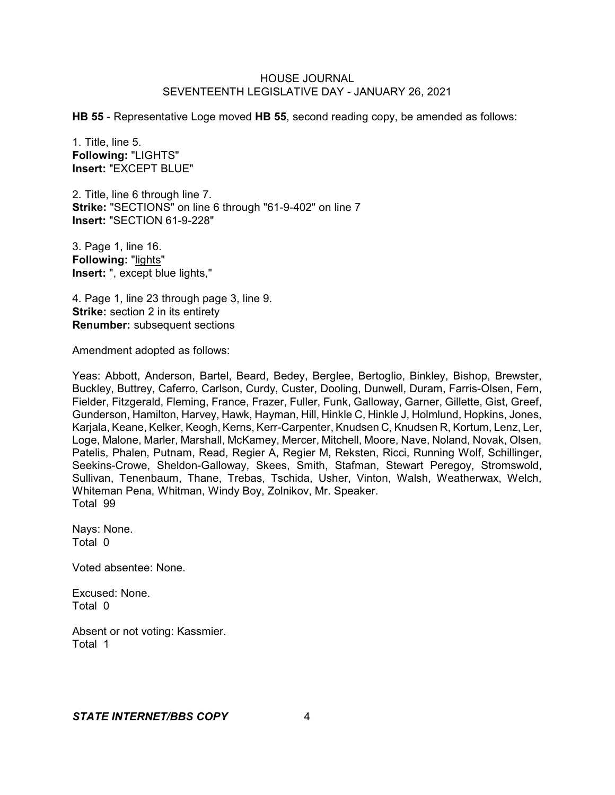**HB 55** - Representative Loge moved **HB 55**, second reading copy, be amended as follows:

1. Title, line 5. **Following:** "LIGHTS" **Insert:** "EXCEPT BLUE"

2. Title, line 6 through line 7. **Strike:** "SECTIONS" on line 6 through "61-9-402" on line 7 **Insert:** "SECTION 61-9-228"

3. Page 1, line 16. **Following:** "lights" **Insert:** ", except blue lights,"

4. Page 1, line 23 through page 3, line 9. **Strike:** section 2 in its entirety **Renumber:** subsequent sections

Amendment adopted as follows:

Yeas: Abbott, Anderson, Bartel, Beard, Bedey, Berglee, Bertoglio, Binkley, Bishop, Brewster, Buckley, Buttrey, Caferro, Carlson, Curdy, Custer, Dooling, Dunwell, Duram, Farris-Olsen, Fern, Fielder, Fitzgerald, Fleming, France, Frazer, Fuller, Funk, Galloway, Garner, Gillette, Gist, Greef, Gunderson, Hamilton, Harvey, Hawk, Hayman, Hill, Hinkle C, Hinkle J, Holmlund, Hopkins, Jones, Karjala, Keane, Kelker, Keogh, Kerns, Kerr-Carpenter, Knudsen C, Knudsen R, Kortum, Lenz, Ler, Loge, Malone, Marler, Marshall, McKamey, Mercer, Mitchell, Moore, Nave, Noland, Novak, Olsen, Patelis, Phalen, Putnam, Read, Regier A, Regier M, Reksten, Ricci, Running Wolf, Schillinger, Seekins-Crowe, Sheldon-Galloway, Skees, Smith, Stafman, Stewart Peregoy, Stromswold, Sullivan, Tenenbaum, Thane, Trebas, Tschida, Usher, Vinton, Walsh, Weatherwax, Welch, Whiteman Pena, Whitman, Windy Boy, Zolnikov, Mr. Speaker. Total 99

Nays: None. Total 0

Voted absentee: None.

Excused: None. Total 0

Absent or not voting: Kassmier. Total 1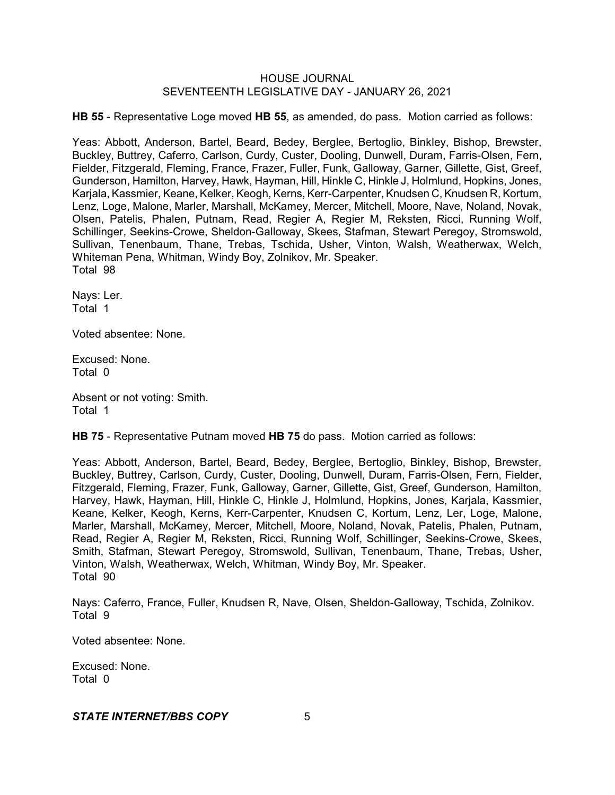**HB 55** - Representative Loge moved **HB 55**, as amended, do pass. Motion carried as follows:

Yeas: Abbott, Anderson, Bartel, Beard, Bedey, Berglee, Bertoglio, Binkley, Bishop, Brewster, Buckley, Buttrey, Caferro, Carlson, Curdy, Custer, Dooling, Dunwell, Duram, Farris-Olsen, Fern, Fielder, Fitzgerald, Fleming, France, Frazer, Fuller, Funk, Galloway, Garner, Gillette, Gist, Greef, Gunderson, Hamilton, Harvey, Hawk, Hayman, Hill, Hinkle C, Hinkle J, Holmlund, Hopkins, Jones, Karjala, Kassmier, Keane, Kelker, Keogh, Kerns, Kerr-Carpenter, Knudsen C, Knudsen R, Kortum, Lenz, Loge, Malone, Marler, Marshall, McKamey, Mercer, Mitchell, Moore, Nave, Noland, Novak, Olsen, Patelis, Phalen, Putnam, Read, Regier A, Regier M, Reksten, Ricci, Running Wolf, Schillinger, Seekins-Crowe, Sheldon-Galloway, Skees, Stafman, Stewart Peregoy, Stromswold, Sullivan, Tenenbaum, Thane, Trebas, Tschida, Usher, Vinton, Walsh, Weatherwax, Welch, Whiteman Pena, Whitman, Windy Boy, Zolnikov, Mr. Speaker. Total 98

Nays: Ler. Total 1

Voted absentee: None.

Excused: None. Total 0

Absent or not voting: Smith. Total 1

**HB 75** - Representative Putnam moved **HB 75** do pass. Motion carried as follows:

Yeas: Abbott, Anderson, Bartel, Beard, Bedey, Berglee, Bertoglio, Binkley, Bishop, Brewster, Buckley, Buttrey, Carlson, Curdy, Custer, Dooling, Dunwell, Duram, Farris-Olsen, Fern, Fielder, Fitzgerald, Fleming, Frazer, Funk, Galloway, Garner, Gillette, Gist, Greef, Gunderson, Hamilton, Harvey, Hawk, Hayman, Hill, Hinkle C, Hinkle J, Holmlund, Hopkins, Jones, Karjala, Kassmier, Keane, Kelker, Keogh, Kerns, Kerr-Carpenter, Knudsen C, Kortum, Lenz, Ler, Loge, Malone, Marler, Marshall, McKamey, Mercer, Mitchell, Moore, Noland, Novak, Patelis, Phalen, Putnam, Read, Regier A, Regier M, Reksten, Ricci, Running Wolf, Schillinger, Seekins-Crowe, Skees, Smith, Stafman, Stewart Peregoy, Stromswold, Sullivan, Tenenbaum, Thane, Trebas, Usher, Vinton, Walsh, Weatherwax, Welch, Whitman, Windy Boy, Mr. Speaker. Total 90

Nays: Caferro, France, Fuller, Knudsen R, Nave, Olsen, Sheldon-Galloway, Tschida, Zolnikov. Total 9

Voted absentee: None.

Excused: None. Total 0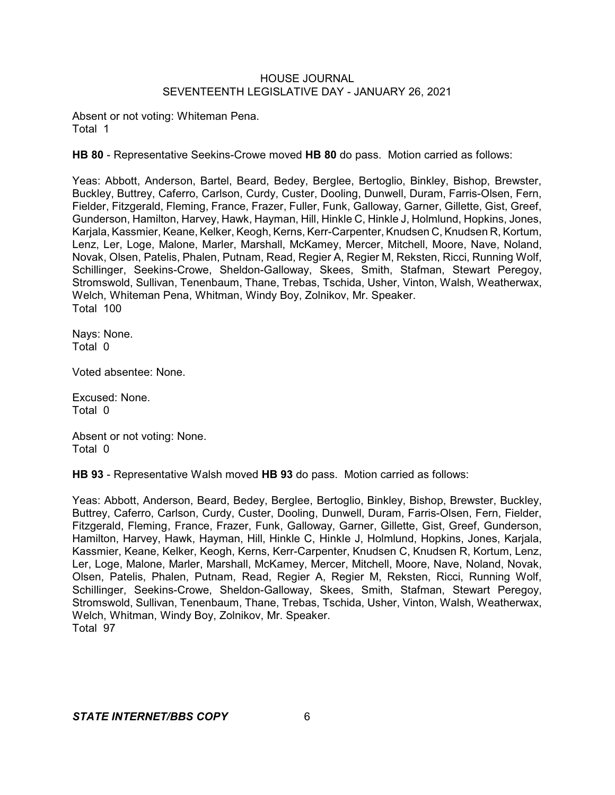Absent or not voting: Whiteman Pena. Total 1

**HB 80** - Representative Seekins-Crowe moved **HB 80** do pass. Motion carried as follows:

Yeas: Abbott, Anderson, Bartel, Beard, Bedey, Berglee, Bertoglio, Binkley, Bishop, Brewster, Buckley, Buttrey, Caferro, Carlson, Curdy, Custer, Dooling, Dunwell, Duram, Farris-Olsen, Fern, Fielder, Fitzgerald, Fleming, France, Frazer, Fuller, Funk, Galloway, Garner, Gillette, Gist, Greef, Gunderson, Hamilton, Harvey, Hawk, Hayman, Hill, Hinkle C, Hinkle J, Holmlund, Hopkins, Jones, Karjala, Kassmier, Keane, Kelker, Keogh, Kerns, Kerr-Carpenter, Knudsen C, Knudsen R, Kortum, Lenz, Ler, Loge, Malone, Marler, Marshall, McKamey, Mercer, Mitchell, Moore, Nave, Noland, Novak, Olsen, Patelis, Phalen, Putnam, Read, Regier A, Regier M, Reksten, Ricci, Running Wolf, Schillinger, Seekins-Crowe, Sheldon-Galloway, Skees, Smith, Stafman, Stewart Peregoy, Stromswold, Sullivan, Tenenbaum, Thane, Trebas, Tschida, Usher, Vinton, Walsh, Weatherwax, Welch, Whiteman Pena, Whitman, Windy Boy, Zolnikov, Mr. Speaker. Total 100

Nays: None. Total 0

Voted absentee: None.

Excused: None. Total 0

Absent or not voting: None. Total 0

**HB 93** - Representative Walsh moved **HB 93** do pass. Motion carried as follows:

Yeas: Abbott, Anderson, Beard, Bedey, Berglee, Bertoglio, Binkley, Bishop, Brewster, Buckley, Buttrey, Caferro, Carlson, Curdy, Custer, Dooling, Dunwell, Duram, Farris-Olsen, Fern, Fielder, Fitzgerald, Fleming, France, Frazer, Funk, Galloway, Garner, Gillette, Gist, Greef, Gunderson, Hamilton, Harvey, Hawk, Hayman, Hill, Hinkle C, Hinkle J, Holmlund, Hopkins, Jones, Karjala, Kassmier, Keane, Kelker, Keogh, Kerns, Kerr-Carpenter, Knudsen C, Knudsen R, Kortum, Lenz, Ler, Loge, Malone, Marler, Marshall, McKamey, Mercer, Mitchell, Moore, Nave, Noland, Novak, Olsen, Patelis, Phalen, Putnam, Read, Regier A, Regier M, Reksten, Ricci, Running Wolf, Schillinger, Seekins-Crowe, Sheldon-Galloway, Skees, Smith, Stafman, Stewart Peregoy, Stromswold, Sullivan, Tenenbaum, Thane, Trebas, Tschida, Usher, Vinton, Walsh, Weatherwax, Welch, Whitman, Windy Boy, Zolnikov, Mr. Speaker. Total 97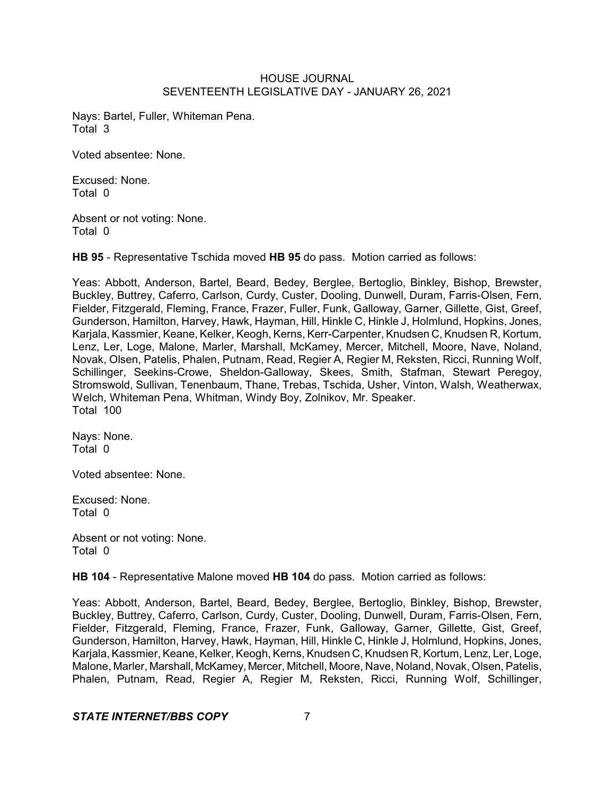Nays: Bartel, Fuller, Whiteman Pena. Total 3

Voted absentee: None.

Excused: None. Total 0

Absent or not voting: None. Total 0

**HB 95** - Representative Tschida moved **HB 95** do pass. Motion carried as follows:

Yeas: Abbott, Anderson, Bartel, Beard, Bedey, Berglee, Bertoglio, Binkley, Bishop, Brewster, Buckley, Buttrey, Caferro, Carlson, Curdy, Custer, Dooling, Dunwell, Duram, Farris-Olsen, Fern, Fielder, Fitzgerald, Fleming, France, Frazer, Fuller, Funk, Galloway, Garner, Gillette, Gist, Greef, Gunderson, Hamilton, Harvey, Hawk, Hayman, Hill, Hinkle C, Hinkle J, Holmlund, Hopkins, Jones, Karjala, Kassmier, Keane, Kelker, Keogh, Kerns, Kerr-Carpenter, Knudsen C, Knudsen R, Kortum, Lenz, Ler, Loge, Malone, Marler, Marshall, McKamey, Mercer, Mitchell, Moore, Nave, Noland, Novak, Olsen, Patelis, Phalen, Putnam, Read, Regier A, Regier M, Reksten, Ricci, Running Wolf, Schillinger, Seekins-Crowe, Sheldon-Galloway, Skees, Smith, Stafman, Stewart Peregoy, Stromswold, Sullivan, Tenenbaum, Thane, Trebas, Tschida, Usher, Vinton, Walsh, Weatherwax, Welch, Whiteman Pena, Whitman, Windy Boy, Zolnikov, Mr. Speaker. Total 100

Nays: None. Total 0

Voted absentee: None.

Excused: None. Total 0

Absent or not voting: None. Total 0

**HB 104** - Representative Malone moved **HB 104** do pass. Motion carried as follows:

Yeas: Abbott, Anderson, Bartel, Beard, Bedey, Berglee, Bertoglio, Binkley, Bishop, Brewster, Buckley, Buttrey, Caferro, Carlson, Curdy, Custer, Dooling, Dunwell, Duram, Farris-Olsen, Fern, Fielder, Fitzgerald, Fleming, France, Frazer, Funk, Galloway, Garner, Gillette, Gist, Greef, Gunderson, Hamilton, Harvey, Hawk, Hayman, Hill, Hinkle C, Hinkle J, Holmlund, Hopkins, Jones, Karjala, Kassmier, Keane, Kelker, Keogh, Kerns, Knudsen C, Knudsen R, Kortum, Lenz, Ler, Loge, Malone, Marler, Marshall, McKamey, Mercer, Mitchell, Moore, Nave, Noland, Novak, Olsen, Patelis, Phalen, Putnam, Read, Regier A, Regier M, Reksten, Ricci, Running Wolf, Schillinger,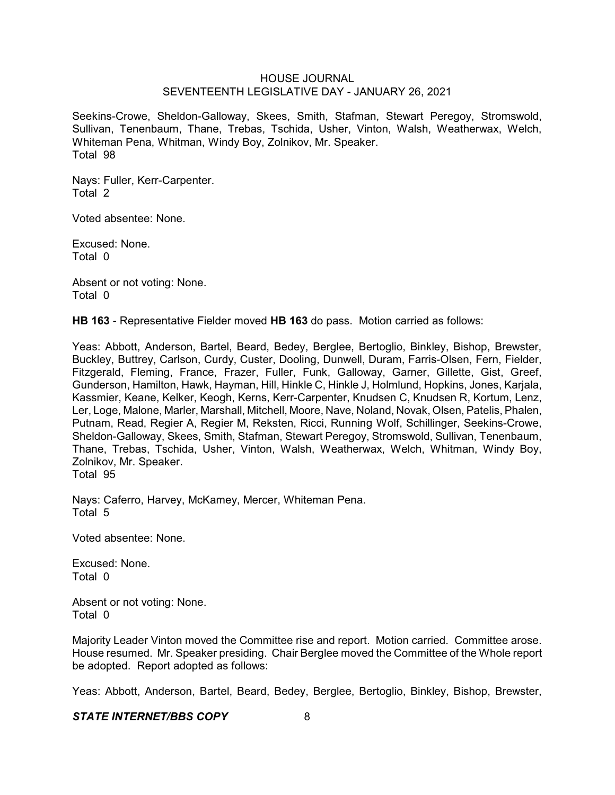Seekins-Crowe, Sheldon-Galloway, Skees, Smith, Stafman, Stewart Peregoy, Stromswold, Sullivan, Tenenbaum, Thane, Trebas, Tschida, Usher, Vinton, Walsh, Weatherwax, Welch, Whiteman Pena, Whitman, Windy Boy, Zolnikov, Mr. Speaker. Total 98

Nays: Fuller, Kerr-Carpenter. Total 2

Voted absentee: None.

Excused: None. Total 0

Absent or not voting: None. Total 0

**HB 163** - Representative Fielder moved **HB 163** do pass. Motion carried as follows:

Yeas: Abbott, Anderson, Bartel, Beard, Bedey, Berglee, Bertoglio, Binkley, Bishop, Brewster, Buckley, Buttrey, Carlson, Curdy, Custer, Dooling, Dunwell, Duram, Farris-Olsen, Fern, Fielder, Fitzgerald, Fleming, France, Frazer, Fuller, Funk, Galloway, Garner, Gillette, Gist, Greef, Gunderson, Hamilton, Hawk, Hayman, Hill, Hinkle C, Hinkle J, Holmlund, Hopkins, Jones, Karjala, Kassmier, Keane, Kelker, Keogh, Kerns, Kerr-Carpenter, Knudsen C, Knudsen R, Kortum, Lenz, Ler, Loge, Malone, Marler, Marshall, Mitchell, Moore, Nave, Noland, Novak, Olsen, Patelis, Phalen, Putnam, Read, Regier A, Regier M, Reksten, Ricci, Running Wolf, Schillinger, Seekins-Crowe, Sheldon-Galloway, Skees, Smith, Stafman, Stewart Peregoy, Stromswold, Sullivan, Tenenbaum, Thane, Trebas, Tschida, Usher, Vinton, Walsh, Weatherwax, Welch, Whitman, Windy Boy, Zolnikov, Mr. Speaker.

Total 95

Nays: Caferro, Harvey, McKamey, Mercer, Whiteman Pena. Total 5

Voted absentee: None.

Excused: None. Total 0

Absent or not voting: None. Total 0

Majority Leader Vinton moved the Committee rise and report. Motion carried. Committee arose. House resumed. Mr. Speaker presiding. Chair Berglee moved the Committee of the Whole report be adopted. Report adopted as follows:

Yeas: Abbott, Anderson, Bartel, Beard, Bedey, Berglee, Bertoglio, Binkley, Bishop, Brewster,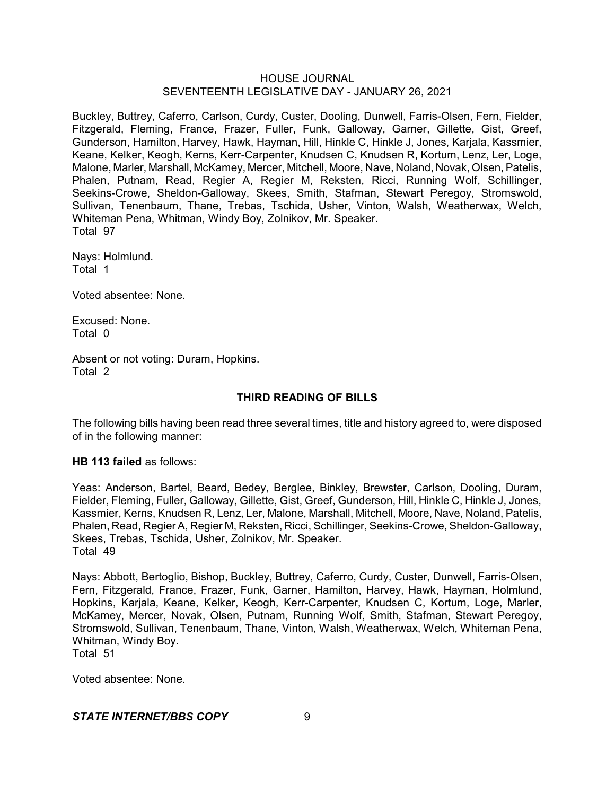Buckley, Buttrey, Caferro, Carlson, Curdy, Custer, Dooling, Dunwell, Farris-Olsen, Fern, Fielder, Fitzgerald, Fleming, France, Frazer, Fuller, Funk, Galloway, Garner, Gillette, Gist, Greef, Gunderson, Hamilton, Harvey, Hawk, Hayman, Hill, Hinkle C, Hinkle J, Jones, Karjala, Kassmier, Keane, Kelker, Keogh, Kerns, Kerr-Carpenter, Knudsen C, Knudsen R, Kortum, Lenz, Ler, Loge, Malone, Marler, Marshall, McKamey, Mercer, Mitchell, Moore, Nave, Noland, Novak, Olsen, Patelis, Phalen, Putnam, Read, Regier A, Regier M, Reksten, Ricci, Running Wolf, Schillinger, Seekins-Crowe, Sheldon-Galloway, Skees, Smith, Stafman, Stewart Peregoy, Stromswold, Sullivan, Tenenbaum, Thane, Trebas, Tschida, Usher, Vinton, Walsh, Weatherwax, Welch, Whiteman Pena, Whitman, Windy Boy, Zolnikov, Mr. Speaker. Total 97

Nays: Holmlund. Total 1

Voted absentee: None.

Excused: None. Total 0

Absent or not voting: Duram, Hopkins. Total 2

# **THIRD READING OF BILLS**

The following bills having been read three several times, title and history agreed to, were disposed of in the following manner:

## **HB 113 failed** as follows:

Yeas: Anderson, Bartel, Beard, Bedey, Berglee, Binkley, Brewster, Carlson, Dooling, Duram, Fielder, Fleming, Fuller, Galloway, Gillette, Gist, Greef, Gunderson, Hill, Hinkle C, Hinkle J, Jones, Kassmier, Kerns, Knudsen R, Lenz, Ler, Malone, Marshall, Mitchell, Moore, Nave, Noland, Patelis, Phalen, Read, Regier A, Regier M, Reksten, Ricci, Schillinger, Seekins-Crowe, Sheldon-Galloway, Skees, Trebas, Tschida, Usher, Zolnikov, Mr. Speaker. Total 49

Nays: Abbott, Bertoglio, Bishop, Buckley, Buttrey, Caferro, Curdy, Custer, Dunwell, Farris-Olsen, Fern, Fitzgerald, France, Frazer, Funk, Garner, Hamilton, Harvey, Hawk, Hayman, Holmlund, Hopkins, Karjala, Keane, Kelker, Keogh, Kerr-Carpenter, Knudsen C, Kortum, Loge, Marler, McKamey, Mercer, Novak, Olsen, Putnam, Running Wolf, Smith, Stafman, Stewart Peregoy, Stromswold, Sullivan, Tenenbaum, Thane, Vinton, Walsh, Weatherwax, Welch, Whiteman Pena, Whitman, Windy Boy.

Total 51

Voted absentee: None.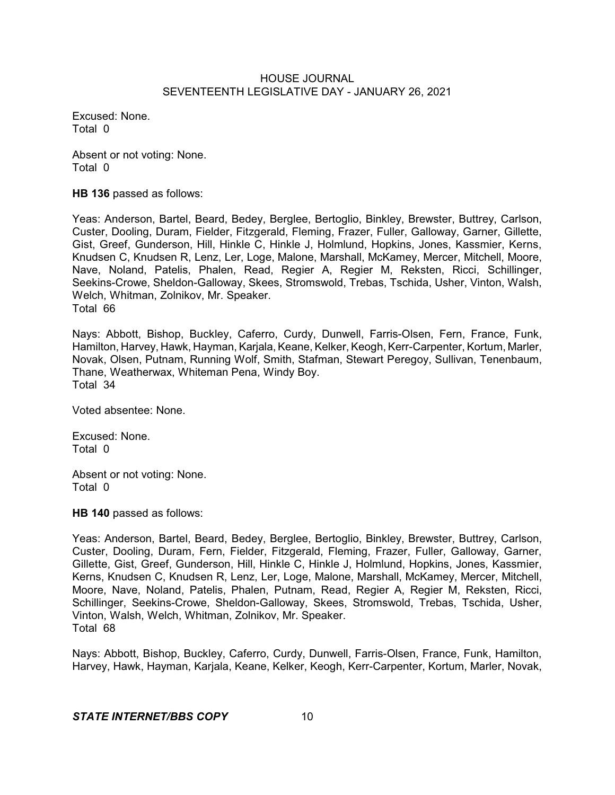Excused: None. Total 0

Absent or not voting: None. Total 0

**HB 136** passed as follows:

Yeas: Anderson, Bartel, Beard, Bedey, Berglee, Bertoglio, Binkley, Brewster, Buttrey, Carlson, Custer, Dooling, Duram, Fielder, Fitzgerald, Fleming, Frazer, Fuller, Galloway, Garner, Gillette, Gist, Greef, Gunderson, Hill, Hinkle C, Hinkle J, Holmlund, Hopkins, Jones, Kassmier, Kerns, Knudsen C, Knudsen R, Lenz, Ler, Loge, Malone, Marshall, McKamey, Mercer, Mitchell, Moore, Nave, Noland, Patelis, Phalen, Read, Regier A, Regier M, Reksten, Ricci, Schillinger, Seekins-Crowe, Sheldon-Galloway, Skees, Stromswold, Trebas, Tschida, Usher, Vinton, Walsh, Welch, Whitman, Zolnikov, Mr. Speaker. Total 66

Nays: Abbott, Bishop, Buckley, Caferro, Curdy, Dunwell, Farris-Olsen, Fern, France, Funk, Hamilton, Harvey, Hawk, Hayman, Karjala, Keane, Kelker, Keogh, Kerr-Carpenter, Kortum, Marler, Novak, Olsen, Putnam, Running Wolf, Smith, Stafman, Stewart Peregoy, Sullivan, Tenenbaum, Thane, Weatherwax, Whiteman Pena, Windy Boy. Total 34

Voted absentee: None.

Excused: None. Total 0

Absent or not voting: None. Total 0

**HB 140** passed as follows:

Yeas: Anderson, Bartel, Beard, Bedey, Berglee, Bertoglio, Binkley, Brewster, Buttrey, Carlson, Custer, Dooling, Duram, Fern, Fielder, Fitzgerald, Fleming, Frazer, Fuller, Galloway, Garner, Gillette, Gist, Greef, Gunderson, Hill, Hinkle C, Hinkle J, Holmlund, Hopkins, Jones, Kassmier, Kerns, Knudsen C, Knudsen R, Lenz, Ler, Loge, Malone, Marshall, McKamey, Mercer, Mitchell, Moore, Nave, Noland, Patelis, Phalen, Putnam, Read, Regier A, Regier M, Reksten, Ricci, Schillinger, Seekins-Crowe, Sheldon-Galloway, Skees, Stromswold, Trebas, Tschida, Usher, Vinton, Walsh, Welch, Whitman, Zolnikov, Mr. Speaker. Total 68

Nays: Abbott, Bishop, Buckley, Caferro, Curdy, Dunwell, Farris-Olsen, France, Funk, Hamilton, Harvey, Hawk, Hayman, Karjala, Keane, Kelker, Keogh, Kerr-Carpenter, Kortum, Marler, Novak,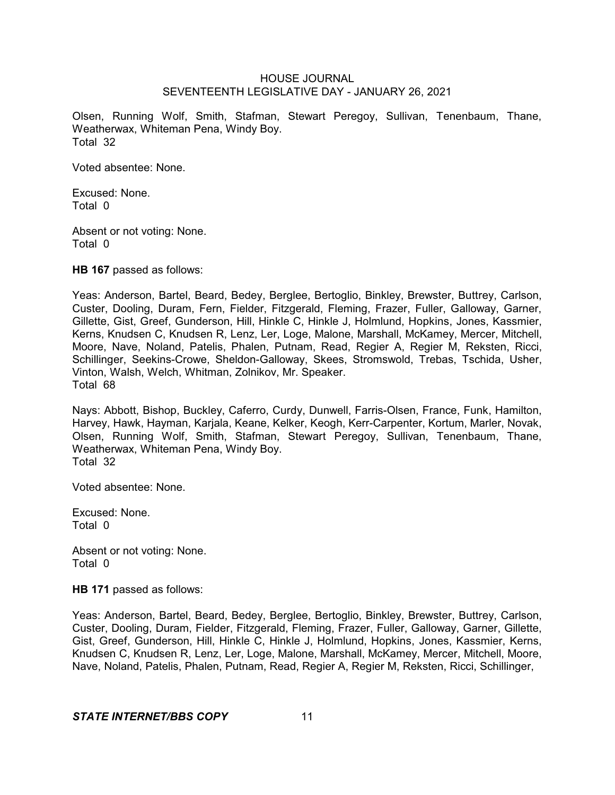Olsen, Running Wolf, Smith, Stafman, Stewart Peregoy, Sullivan, Tenenbaum, Thane, Weatherwax, Whiteman Pena, Windy Boy. Total 32

Voted absentee: None.

Excused: None. Total 0

Absent or not voting: None. Total 0

**HB 167** passed as follows:

Yeas: Anderson, Bartel, Beard, Bedey, Berglee, Bertoglio, Binkley, Brewster, Buttrey, Carlson, Custer, Dooling, Duram, Fern, Fielder, Fitzgerald, Fleming, Frazer, Fuller, Galloway, Garner, Gillette, Gist, Greef, Gunderson, Hill, Hinkle C, Hinkle J, Holmlund, Hopkins, Jones, Kassmier, Kerns, Knudsen C, Knudsen R, Lenz, Ler, Loge, Malone, Marshall, McKamey, Mercer, Mitchell, Moore, Nave, Noland, Patelis, Phalen, Putnam, Read, Regier A, Regier M, Reksten, Ricci, Schillinger, Seekins-Crowe, Sheldon-Galloway, Skees, Stromswold, Trebas, Tschida, Usher, Vinton, Walsh, Welch, Whitman, Zolnikov, Mr. Speaker. Total 68

Nays: Abbott, Bishop, Buckley, Caferro, Curdy, Dunwell, Farris-Olsen, France, Funk, Hamilton, Harvey, Hawk, Hayman, Karjala, Keane, Kelker, Keogh, Kerr-Carpenter, Kortum, Marler, Novak, Olsen, Running Wolf, Smith, Stafman, Stewart Peregoy, Sullivan, Tenenbaum, Thane, Weatherwax, Whiteman Pena, Windy Boy. Total 32

Voted absentee: None.

Excused: None. Total 0

Absent or not voting: None. Total 0

**HB 171** passed as follows:

Yeas: Anderson, Bartel, Beard, Bedey, Berglee, Bertoglio, Binkley, Brewster, Buttrey, Carlson, Custer, Dooling, Duram, Fielder, Fitzgerald, Fleming, Frazer, Fuller, Galloway, Garner, Gillette, Gist, Greef, Gunderson, Hill, Hinkle C, Hinkle J, Holmlund, Hopkins, Jones, Kassmier, Kerns, Knudsen C, Knudsen R, Lenz, Ler, Loge, Malone, Marshall, McKamey, Mercer, Mitchell, Moore, Nave, Noland, Patelis, Phalen, Putnam, Read, Regier A, Regier M, Reksten, Ricci, Schillinger,